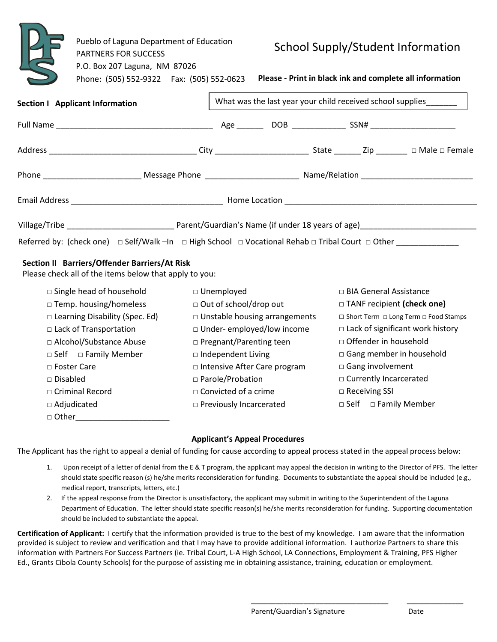|                                 | Pueblo of Laguna Department of Education<br><b>PARTNERS FOR SUCCESS</b><br>P.O. Box 207 Laguna, NM 87026<br>Phone: (505) 552-9322    Fax: (505) 552-0623 |  |                                                                   | School Supply/Student Information<br>Please - Print in black ink and complete all information |  |  |  |  |
|---------------------------------|----------------------------------------------------------------------------------------------------------------------------------------------------------|--|-------------------------------------------------------------------|-----------------------------------------------------------------------------------------------|--|--|--|--|
| Section I Applicant Information |                                                                                                                                                          |  | What was the last year your child received school supplies_______ |                                                                                               |  |  |  |  |
|                                 |                                                                                                                                                          |  |                                                                   |                                                                                               |  |  |  |  |
|                                 |                                                                                                                                                          |  |                                                                   |                                                                                               |  |  |  |  |
|                                 |                                                                                                                                                          |  |                                                                   |                                                                                               |  |  |  |  |
|                                 |                                                                                                                                                          |  |                                                                   |                                                                                               |  |  |  |  |
|                                 |                                                                                                                                                          |  |                                                                   |                                                                                               |  |  |  |  |
|                                 | Referred by: (check one) $\Box$ Self/Walk -In $\Box$ High School $\Box$ Vocational Rehab $\Box$ Tribal Court $\Box$ Other                                |  |                                                                   |                                                                                               |  |  |  |  |

## **Section II Barriers/Offender Barriers/At Risk**

Please check all of the items below that apply to you:

| $\Box$ Single head of household       | $\Box$ Unemployed                    | □ BIA General Assistance                |  |  |
|---------------------------------------|--------------------------------------|-----------------------------------------|--|--|
| $\Box$ Temp. housing/homeless         | $\Box$ Out of school/drop out        | □ TANF recipient (check one)            |  |  |
| $\Box$ Learning Disability (Spec. Ed) | $\Box$ Unstable housing arrangements | □ Short Term □ Long Term □ Food Stamps  |  |  |
| $\Box$ Lack of Transportation         | $\Box$ Under-employed/low income     | $\Box$ Lack of significant work history |  |  |
| □ Alcohol/Substance Abuse             | □ Pregnant/Parenting teen            | □ Offender in household                 |  |  |
| □ Family Member<br>$\square$ Self     | $\Box$ Independent Living            | $\Box$ Gang member in household         |  |  |
| □ Foster Care                         | □ Intensive After Care program       | $\Box$ Gang involvement                 |  |  |
| $\Box$ Disabled                       | □ Parole/Probation                   | $\Box$ Currently Incarcerated           |  |  |
| □ Criminal Record                     | $\Box$ Convicted of a crime          | $\Box$ Receiving SSI                    |  |  |
| $\Box$ Adjudicated                    | □ Previously Incarcerated            | □ Family Member<br>$\Box$ Self          |  |  |
| □ Other                               |                                      |                                         |  |  |

## **Applicant's Appeal Procedures**

The Applicant has the right to appeal a denial of funding for cause according to appeal process stated in the appeal process below:

- 1. Upon receipt of a letter of denial from the E & T program, the applicant may appeal the decision in writing to the Director of PFS. The letter should state specific reason (s) he/she merits reconsideration for funding. Documents to substantiate the appeal should be included (e.g., medical report, transcripts, letters, etc.)
- 2. If the appeal response from the Director is unsatisfactory, the applicant may submit in writing to the Superintendent of the Laguna Department of Education. The letter should state specific reason(s) he/she merits reconsideration for funding. Supporting documentation should be included to substantiate the appeal.

**Certification of Applicant:** I certify that the information provided is true to the best of my knowledge. I am aware that the information provided is subject to review and verification and that I may have to provide additional information. I authorize Partners to share this information with Partners For Success Partners (ie. Tribal Court, L-A High School, LA Connections, Employment & Training, PFS Higher Ed., Grants Cibola County Schools) for the purpose of assisting me in obtaining assistance, training, education or employment.

\_\_\_\_\_\_\_\_\_\_\_\_\_\_\_\_\_\_\_\_\_\_\_\_\_\_\_\_\_\_\_\_\_\_

 $\overline{\phantom{a}}$  , where  $\overline{\phantom{a}}$